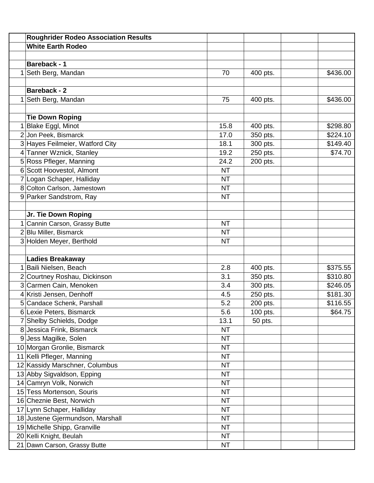| <b>White Earth Rodeo</b><br><b>Bareback - 1</b><br>Seth Berg, Mandan<br>70<br>\$436.00<br>400 pts.<br><b>Bareback - 2</b><br>Seth Berg, Mandan<br>75<br>\$436.00<br>400 pts.<br><b>Tie Down Roping</b><br>Blake Eggl, Minot<br>\$298.80<br>15.8<br>400 pts.<br>2 Jon Peek, Bismarck<br>17.0<br>\$224.10<br>350 pts.<br>3 Hayes Feilmeier, Watford City<br>\$149.40<br>18.1<br>300 pts.<br>4 Tanner Wznick, Stanley<br>19.2<br>\$74.70<br>250 pts.<br>5 Ross Pfleger, Manning<br>24.2<br>200 pts.<br>6 Scott Hoovestol, Almont<br><b>NT</b><br>7 Logan Schaper, Halliday<br><b>NT</b><br>8 Colton Carlson, Jamestown<br><b>NT</b><br>9 Parker Sandstrom, Ray<br><b>NT</b><br>Jr. Tie Down Roping<br>Cannin Carson, Grassy Butte<br><b>NT</b><br>2 Blu Miller, Bismarck<br><b>NT</b><br>3 Holden Meyer, Berthold<br><b>NT</b><br><b>Ladies Breakaway</b><br>Baili Nielsen, Beach<br>2.8<br>\$375.55<br>400 pts.<br>2 Courtney Roshau, Dickinson<br>\$310.80<br>3.1<br>350 pts.<br>3 Carmen Cain, Menoken<br>\$246.05<br>3.4<br>300 pts.<br>4 Kristi Jensen, Denhoff<br>\$181.30<br>250 pts.<br>4.5<br>5 Candace Schenk, Parshall<br>5.2<br>\$116.55<br>200 pts.<br>6 Lexie Peters, Bismarck<br>5.6<br>\$64.75<br>100 pts.<br>7 Shelby Schields, Dodge<br>13.1<br>50 pts.<br>8 Jessica Frink, Bismarck<br><b>NT</b><br>9 Jess Magilke, Solen<br><b>NT</b><br>10 Morgan Gronlie, Bismarck<br><b>NT</b><br>11 Kelli Pfleger, Manning<br><b>NT</b><br>12 Kassidy Marschner, Columbus<br><b>NT</b><br>13 Abby Sigvaldson, Epping<br><b>NT</b><br>14 Camryn Volk, Norwich<br><b>NT</b><br>15 Tess Mortenson, Souris<br><b>NT</b><br>16 Cheznie Best, Norwich<br><b>NT</b><br>17 Lynn Schaper, Halliday<br><b>NT</b><br>18 Justene Gjermundson, Marshall<br><b>NT</b><br>19 Michelle Shipp, Granville<br><b>NT</b><br>20 Kelli Knight, Beulah<br><b>NT</b> | <b>Roughrider Rodeo Association Results</b> |           |  |
|---------------------------------------------------------------------------------------------------------------------------------------------------------------------------------------------------------------------------------------------------------------------------------------------------------------------------------------------------------------------------------------------------------------------------------------------------------------------------------------------------------------------------------------------------------------------------------------------------------------------------------------------------------------------------------------------------------------------------------------------------------------------------------------------------------------------------------------------------------------------------------------------------------------------------------------------------------------------------------------------------------------------------------------------------------------------------------------------------------------------------------------------------------------------------------------------------------------------------------------------------------------------------------------------------------------------------------------------------------------------------------------------------------------------------------------------------------------------------------------------------------------------------------------------------------------------------------------------------------------------------------------------------------------------------------------------------------------------------------------------------------------------------------------------------------------------------------------------------|---------------------------------------------|-----------|--|
|                                                                                                                                                                                                                                                                                                                                                                                                                                                                                                                                                                                                                                                                                                                                                                                                                                                                                                                                                                                                                                                                                                                                                                                                                                                                                                                                                                                                                                                                                                                                                                                                                                                                                                                                                                                                                                                   |                                             |           |  |
|                                                                                                                                                                                                                                                                                                                                                                                                                                                                                                                                                                                                                                                                                                                                                                                                                                                                                                                                                                                                                                                                                                                                                                                                                                                                                                                                                                                                                                                                                                                                                                                                                                                                                                                                                                                                                                                   |                                             |           |  |
|                                                                                                                                                                                                                                                                                                                                                                                                                                                                                                                                                                                                                                                                                                                                                                                                                                                                                                                                                                                                                                                                                                                                                                                                                                                                                                                                                                                                                                                                                                                                                                                                                                                                                                                                                                                                                                                   |                                             |           |  |
|                                                                                                                                                                                                                                                                                                                                                                                                                                                                                                                                                                                                                                                                                                                                                                                                                                                                                                                                                                                                                                                                                                                                                                                                                                                                                                                                                                                                                                                                                                                                                                                                                                                                                                                                                                                                                                                   |                                             |           |  |
|                                                                                                                                                                                                                                                                                                                                                                                                                                                                                                                                                                                                                                                                                                                                                                                                                                                                                                                                                                                                                                                                                                                                                                                                                                                                                                                                                                                                                                                                                                                                                                                                                                                                                                                                                                                                                                                   |                                             |           |  |
|                                                                                                                                                                                                                                                                                                                                                                                                                                                                                                                                                                                                                                                                                                                                                                                                                                                                                                                                                                                                                                                                                                                                                                                                                                                                                                                                                                                                                                                                                                                                                                                                                                                                                                                                                                                                                                                   |                                             |           |  |
|                                                                                                                                                                                                                                                                                                                                                                                                                                                                                                                                                                                                                                                                                                                                                                                                                                                                                                                                                                                                                                                                                                                                                                                                                                                                                                                                                                                                                                                                                                                                                                                                                                                                                                                                                                                                                                                   |                                             |           |  |
|                                                                                                                                                                                                                                                                                                                                                                                                                                                                                                                                                                                                                                                                                                                                                                                                                                                                                                                                                                                                                                                                                                                                                                                                                                                                                                                                                                                                                                                                                                                                                                                                                                                                                                                                                                                                                                                   |                                             |           |  |
|                                                                                                                                                                                                                                                                                                                                                                                                                                                                                                                                                                                                                                                                                                                                                                                                                                                                                                                                                                                                                                                                                                                                                                                                                                                                                                                                                                                                                                                                                                                                                                                                                                                                                                                                                                                                                                                   |                                             |           |  |
|                                                                                                                                                                                                                                                                                                                                                                                                                                                                                                                                                                                                                                                                                                                                                                                                                                                                                                                                                                                                                                                                                                                                                                                                                                                                                                                                                                                                                                                                                                                                                                                                                                                                                                                                                                                                                                                   |                                             |           |  |
|                                                                                                                                                                                                                                                                                                                                                                                                                                                                                                                                                                                                                                                                                                                                                                                                                                                                                                                                                                                                                                                                                                                                                                                                                                                                                                                                                                                                                                                                                                                                                                                                                                                                                                                                                                                                                                                   |                                             |           |  |
|                                                                                                                                                                                                                                                                                                                                                                                                                                                                                                                                                                                                                                                                                                                                                                                                                                                                                                                                                                                                                                                                                                                                                                                                                                                                                                                                                                                                                                                                                                                                                                                                                                                                                                                                                                                                                                                   |                                             |           |  |
|                                                                                                                                                                                                                                                                                                                                                                                                                                                                                                                                                                                                                                                                                                                                                                                                                                                                                                                                                                                                                                                                                                                                                                                                                                                                                                                                                                                                                                                                                                                                                                                                                                                                                                                                                                                                                                                   |                                             |           |  |
|                                                                                                                                                                                                                                                                                                                                                                                                                                                                                                                                                                                                                                                                                                                                                                                                                                                                                                                                                                                                                                                                                                                                                                                                                                                                                                                                                                                                                                                                                                                                                                                                                                                                                                                                                                                                                                                   |                                             |           |  |
|                                                                                                                                                                                                                                                                                                                                                                                                                                                                                                                                                                                                                                                                                                                                                                                                                                                                                                                                                                                                                                                                                                                                                                                                                                                                                                                                                                                                                                                                                                                                                                                                                                                                                                                                                                                                                                                   |                                             |           |  |
|                                                                                                                                                                                                                                                                                                                                                                                                                                                                                                                                                                                                                                                                                                                                                                                                                                                                                                                                                                                                                                                                                                                                                                                                                                                                                                                                                                                                                                                                                                                                                                                                                                                                                                                                                                                                                                                   |                                             |           |  |
|                                                                                                                                                                                                                                                                                                                                                                                                                                                                                                                                                                                                                                                                                                                                                                                                                                                                                                                                                                                                                                                                                                                                                                                                                                                                                                                                                                                                                                                                                                                                                                                                                                                                                                                                                                                                                                                   |                                             |           |  |
|                                                                                                                                                                                                                                                                                                                                                                                                                                                                                                                                                                                                                                                                                                                                                                                                                                                                                                                                                                                                                                                                                                                                                                                                                                                                                                                                                                                                                                                                                                                                                                                                                                                                                                                                                                                                                                                   |                                             |           |  |
|                                                                                                                                                                                                                                                                                                                                                                                                                                                                                                                                                                                                                                                                                                                                                                                                                                                                                                                                                                                                                                                                                                                                                                                                                                                                                                                                                                                                                                                                                                                                                                                                                                                                                                                                                                                                                                                   |                                             |           |  |
|                                                                                                                                                                                                                                                                                                                                                                                                                                                                                                                                                                                                                                                                                                                                                                                                                                                                                                                                                                                                                                                                                                                                                                                                                                                                                                                                                                                                                                                                                                                                                                                                                                                                                                                                                                                                                                                   |                                             |           |  |
|                                                                                                                                                                                                                                                                                                                                                                                                                                                                                                                                                                                                                                                                                                                                                                                                                                                                                                                                                                                                                                                                                                                                                                                                                                                                                                                                                                                                                                                                                                                                                                                                                                                                                                                                                                                                                                                   |                                             |           |  |
|                                                                                                                                                                                                                                                                                                                                                                                                                                                                                                                                                                                                                                                                                                                                                                                                                                                                                                                                                                                                                                                                                                                                                                                                                                                                                                                                                                                                                                                                                                                                                                                                                                                                                                                                                                                                                                                   |                                             |           |  |
|                                                                                                                                                                                                                                                                                                                                                                                                                                                                                                                                                                                                                                                                                                                                                                                                                                                                                                                                                                                                                                                                                                                                                                                                                                                                                                                                                                                                                                                                                                                                                                                                                                                                                                                                                                                                                                                   |                                             |           |  |
|                                                                                                                                                                                                                                                                                                                                                                                                                                                                                                                                                                                                                                                                                                                                                                                                                                                                                                                                                                                                                                                                                                                                                                                                                                                                                                                                                                                                                                                                                                                                                                                                                                                                                                                                                                                                                                                   |                                             |           |  |
|                                                                                                                                                                                                                                                                                                                                                                                                                                                                                                                                                                                                                                                                                                                                                                                                                                                                                                                                                                                                                                                                                                                                                                                                                                                                                                                                                                                                                                                                                                                                                                                                                                                                                                                                                                                                                                                   |                                             |           |  |
|                                                                                                                                                                                                                                                                                                                                                                                                                                                                                                                                                                                                                                                                                                                                                                                                                                                                                                                                                                                                                                                                                                                                                                                                                                                                                                                                                                                                                                                                                                                                                                                                                                                                                                                                                                                                                                                   |                                             |           |  |
|                                                                                                                                                                                                                                                                                                                                                                                                                                                                                                                                                                                                                                                                                                                                                                                                                                                                                                                                                                                                                                                                                                                                                                                                                                                                                                                                                                                                                                                                                                                                                                                                                                                                                                                                                                                                                                                   |                                             |           |  |
|                                                                                                                                                                                                                                                                                                                                                                                                                                                                                                                                                                                                                                                                                                                                                                                                                                                                                                                                                                                                                                                                                                                                                                                                                                                                                                                                                                                                                                                                                                                                                                                                                                                                                                                                                                                                                                                   |                                             |           |  |
|                                                                                                                                                                                                                                                                                                                                                                                                                                                                                                                                                                                                                                                                                                                                                                                                                                                                                                                                                                                                                                                                                                                                                                                                                                                                                                                                                                                                                                                                                                                                                                                                                                                                                                                                                                                                                                                   |                                             |           |  |
|                                                                                                                                                                                                                                                                                                                                                                                                                                                                                                                                                                                                                                                                                                                                                                                                                                                                                                                                                                                                                                                                                                                                                                                                                                                                                                                                                                                                                                                                                                                                                                                                                                                                                                                                                                                                                                                   |                                             |           |  |
|                                                                                                                                                                                                                                                                                                                                                                                                                                                                                                                                                                                                                                                                                                                                                                                                                                                                                                                                                                                                                                                                                                                                                                                                                                                                                                                                                                                                                                                                                                                                                                                                                                                                                                                                                                                                                                                   |                                             |           |  |
|                                                                                                                                                                                                                                                                                                                                                                                                                                                                                                                                                                                                                                                                                                                                                                                                                                                                                                                                                                                                                                                                                                                                                                                                                                                                                                                                                                                                                                                                                                                                                                                                                                                                                                                                                                                                                                                   |                                             |           |  |
|                                                                                                                                                                                                                                                                                                                                                                                                                                                                                                                                                                                                                                                                                                                                                                                                                                                                                                                                                                                                                                                                                                                                                                                                                                                                                                                                                                                                                                                                                                                                                                                                                                                                                                                                                                                                                                                   |                                             |           |  |
|                                                                                                                                                                                                                                                                                                                                                                                                                                                                                                                                                                                                                                                                                                                                                                                                                                                                                                                                                                                                                                                                                                                                                                                                                                                                                                                                                                                                                                                                                                                                                                                                                                                                                                                                                                                                                                                   |                                             |           |  |
|                                                                                                                                                                                                                                                                                                                                                                                                                                                                                                                                                                                                                                                                                                                                                                                                                                                                                                                                                                                                                                                                                                                                                                                                                                                                                                                                                                                                                                                                                                                                                                                                                                                                                                                                                                                                                                                   |                                             |           |  |
|                                                                                                                                                                                                                                                                                                                                                                                                                                                                                                                                                                                                                                                                                                                                                                                                                                                                                                                                                                                                                                                                                                                                                                                                                                                                                                                                                                                                                                                                                                                                                                                                                                                                                                                                                                                                                                                   |                                             |           |  |
|                                                                                                                                                                                                                                                                                                                                                                                                                                                                                                                                                                                                                                                                                                                                                                                                                                                                                                                                                                                                                                                                                                                                                                                                                                                                                                                                                                                                                                                                                                                                                                                                                                                                                                                                                                                                                                                   |                                             |           |  |
|                                                                                                                                                                                                                                                                                                                                                                                                                                                                                                                                                                                                                                                                                                                                                                                                                                                                                                                                                                                                                                                                                                                                                                                                                                                                                                                                                                                                                                                                                                                                                                                                                                                                                                                                                                                                                                                   |                                             |           |  |
|                                                                                                                                                                                                                                                                                                                                                                                                                                                                                                                                                                                                                                                                                                                                                                                                                                                                                                                                                                                                                                                                                                                                                                                                                                                                                                                                                                                                                                                                                                                                                                                                                                                                                                                                                                                                                                                   |                                             |           |  |
|                                                                                                                                                                                                                                                                                                                                                                                                                                                                                                                                                                                                                                                                                                                                                                                                                                                                                                                                                                                                                                                                                                                                                                                                                                                                                                                                                                                                                                                                                                                                                                                                                                                                                                                                                                                                                                                   |                                             |           |  |
|                                                                                                                                                                                                                                                                                                                                                                                                                                                                                                                                                                                                                                                                                                                                                                                                                                                                                                                                                                                                                                                                                                                                                                                                                                                                                                                                                                                                                                                                                                                                                                                                                                                                                                                                                                                                                                                   |                                             |           |  |
|                                                                                                                                                                                                                                                                                                                                                                                                                                                                                                                                                                                                                                                                                                                                                                                                                                                                                                                                                                                                                                                                                                                                                                                                                                                                                                                                                                                                                                                                                                                                                                                                                                                                                                                                                                                                                                                   |                                             |           |  |
|                                                                                                                                                                                                                                                                                                                                                                                                                                                                                                                                                                                                                                                                                                                                                                                                                                                                                                                                                                                                                                                                                                                                                                                                                                                                                                                                                                                                                                                                                                                                                                                                                                                                                                                                                                                                                                                   |                                             |           |  |
|                                                                                                                                                                                                                                                                                                                                                                                                                                                                                                                                                                                                                                                                                                                                                                                                                                                                                                                                                                                                                                                                                                                                                                                                                                                                                                                                                                                                                                                                                                                                                                                                                                                                                                                                                                                                                                                   |                                             |           |  |
|                                                                                                                                                                                                                                                                                                                                                                                                                                                                                                                                                                                                                                                                                                                                                                                                                                                                                                                                                                                                                                                                                                                                                                                                                                                                                                                                                                                                                                                                                                                                                                                                                                                                                                                                                                                                                                                   |                                             |           |  |
|                                                                                                                                                                                                                                                                                                                                                                                                                                                                                                                                                                                                                                                                                                                                                                                                                                                                                                                                                                                                                                                                                                                                                                                                                                                                                                                                                                                                                                                                                                                                                                                                                                                                                                                                                                                                                                                   | 21 Dawn Carson, Grassy Butte                | <b>NT</b> |  |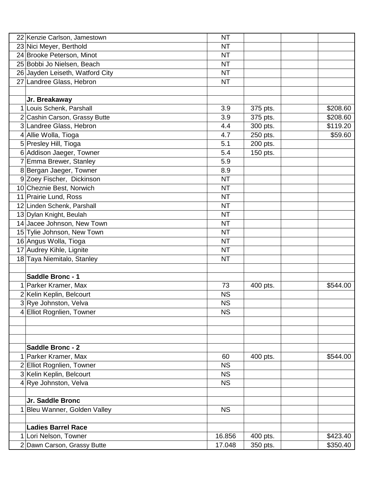|   | 22 Kenzie Carlson, Jamestown    | <b>NT</b> |          |          |
|---|---------------------------------|-----------|----------|----------|
|   | 23 Nici Meyer, Berthold         | <b>NT</b> |          |          |
|   | 24 Brooke Peterson, Minot       | <b>NT</b> |          |          |
|   | 25 Bobbi Jo Nielsen, Beach      | <b>NT</b> |          |          |
|   | 26 Jayden Leiseth, Watford City | <b>NT</b> |          |          |
|   | 27 Landree Glass, Hebron        | <b>NT</b> |          |          |
|   |                                 |           |          |          |
|   | Jr. Breakaway                   |           |          |          |
|   | 1 Louis Schenk, Parshall        | 3.9       | 375 pts. | \$208.60 |
|   | 2 Cashin Carson, Grassy Butte   | 3.9       | 375 pts. | \$208.60 |
|   | 3 Landree Glass, Hebron         | 4.4       | 300 pts. | \$119.20 |
|   | 4 Allie Wolla, Tioga            | 4.7       | 250 pts. | \$59.60  |
|   | 5 Presley Hill, Tioga           | 5.1       | 200 pts. |          |
|   | 6 Addison Jaeger, Towner        | 5.4       | 150 pts. |          |
|   | Emma Brewer, Stanley            | 5.9       |          |          |
|   | 8 Bergan Jaeger, Towner         | 8.9       |          |          |
|   | 9 Zoey Fischer, Dickinson       | <b>NT</b> |          |          |
|   | 10 Cheznie Best, Norwich        | <b>NT</b> |          |          |
|   | 11 Prairie Lund, Ross           | <b>NT</b> |          |          |
|   | 12 Linden Schenk, Parshall      | <b>NT</b> |          |          |
|   | 13 Dylan Knight, Beulah         | <b>NT</b> |          |          |
|   | 14 Jacee Johnson, New Town      | <b>NT</b> |          |          |
|   | 15 Tylie Johnson, New Town      | <b>NT</b> |          |          |
|   | 16 Angus Wolla, Tioga           | <b>NT</b> |          |          |
|   | 17 Audrey Kihle, Lignite        | <b>NT</b> |          |          |
|   | 18 Taya Niemitalo, Stanley      | <b>NT</b> |          |          |
|   |                                 |           |          |          |
|   | Saddle Bronc - 1                |           |          |          |
|   | Parker Kramer, Max              | 73        | 400 pts. | \$544.00 |
|   | 2 Kelin Keplin, Belcourt        | <b>NS</b> |          |          |
|   | 3 Rye Johnston, Velva           | <b>NS</b> |          |          |
| 4 | Elliot Rognlien, Towner         | <b>NS</b> |          |          |
|   |                                 |           |          |          |
|   |                                 |           |          |          |
|   |                                 |           |          |          |
|   | <b>Saddle Bronc - 2</b>         |           |          |          |
|   | Parker Kramer, Max              | 60        | 400 pts. | \$544.00 |
|   | 2 Elliot Rognlien, Towner       | <b>NS</b> |          |          |
|   | 3 Kelin Keplin, Belcourt        | <b>NS</b> |          |          |
|   | 4 Rye Johnston, Velva           | <b>NS</b> |          |          |
|   |                                 |           |          |          |
|   | Jr. Saddle Bronc                |           |          |          |
|   | Bleu Wanner, Golden Valley      | <b>NS</b> |          |          |
|   | <b>Ladies Barrel Race</b>       |           |          |          |
|   |                                 |           |          |          |
|   | Lori Nelson, Towner             | 16.856    | 400 pts. | \$423.40 |
|   | 2 Dawn Carson, Grassy Butte     | 17.048    | 350 pts. | \$350.40 |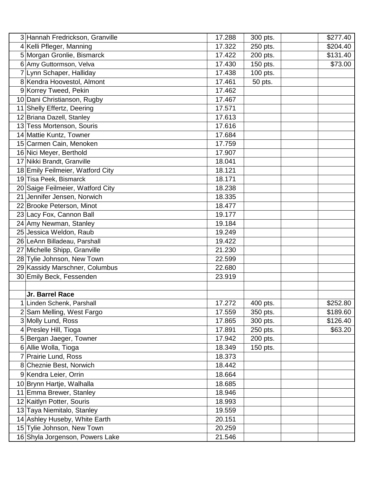| 3 Hannah Fredrickson, Granville  | 17.288 | 300 pts. | \$277.40 |
|----------------------------------|--------|----------|----------|
| 4 Kelli Pfleger, Manning         | 17.322 | 250 pts. | \$204.40 |
| 5 Morgan Gronlie, Bismarck       | 17.422 | 200 pts. | \$131.40 |
| 6 Amy Guttormson, Velva          | 17.430 | 150 pts. | \$73.00  |
| 7 Lynn Schaper, Halliday         | 17.438 | 100 pts. |          |
| 8 Kendra Hoovestol, Almont       | 17.461 | 50 pts.  |          |
| 9 Korrey Tweed, Pekin            | 17.462 |          |          |
| 10 Dani Christianson, Rugby      | 17.467 |          |          |
| 11 Shelly Effertz, Deering       | 17.571 |          |          |
| 12 Briana Dazell, Stanley        | 17.613 |          |          |
| 13 Tess Mortenson, Souris        | 17.616 |          |          |
| 14 Mattie Kuntz, Towner          | 17.684 |          |          |
| 15 Carmen Cain, Menoken          | 17.759 |          |          |
| 16 Nici Meyer, Berthold          | 17.907 |          |          |
| 17 Nikki Brandt, Granville       | 18.041 |          |          |
| 18 Emily Feilmeier, Watford City | 18.121 |          |          |
| 19 Tisa Peek, Bismarck           | 18.171 |          |          |
| 20 Saige Feilmeier, Watford City | 18.238 |          |          |
| 21 Jennifer Jensen, Norwich      | 18.335 |          |          |
| 22 Brooke Peterson, Minot        | 18.477 |          |          |
| 23 Lacy Fox, Cannon Ball         | 19.177 |          |          |
| 24 Amy Newman, Stanley           | 19.184 |          |          |
| 25 Jessica Weldon, Raub          | 19.249 |          |          |
| 26 LeAnn Billadeau, Parshall     | 19.422 |          |          |
| 27 Michelle Shipp, Granville     | 21.230 |          |          |
| 28 Tylie Johnson, New Town       | 22.599 |          |          |
| 29 Kassidy Marschner, Columbus   | 22.680 |          |          |
| 30 Emily Beck, Fessenden         | 23.919 |          |          |
|                                  |        |          |          |
| Jr. Barrel Race                  |        |          |          |
| 1 Linden Schenk, Parshall        | 17.272 | 400 pts. | \$252.80 |
| 2 Sam Melling, West Fargo        | 17.559 | 350 pts. | \$189.60 |
| 3 Molly Lund, Ross               | 17.865 | 300 pts. | \$126.40 |
| 4 Presley Hill, Tioga            | 17.891 | 250 pts. | \$63.20  |
| 5 Bergan Jaeger, Towner          | 17.942 | 200 pts. |          |
| 6 Allie Wolla, Tioga             | 18.349 | 150 pts. |          |
| Prairie Lund, Ross<br>7          | 18.373 |          |          |
| 8 Cheznie Best, Norwich          | 18.442 |          |          |
| 9 Kendra Leier, Orrin            | 18.664 |          |          |
| 10 Brynn Hartje, Walhalla        | 18.685 |          |          |
| 11 Emma Brewer, Stanley          | 18.946 |          |          |
| 12 Kaitlyn Potter, Souris        | 18.993 |          |          |
| 13 Taya Niemitalo, Stanley       | 19.559 |          |          |
| 14 Ashley Huseby, White Earth    | 20.151 |          |          |
| 15 Tylie Johnson, New Town       | 20.259 |          |          |
| 16 Shyla Jorgenson, Powers Lake  | 21.546 |          |          |
|                                  |        |          |          |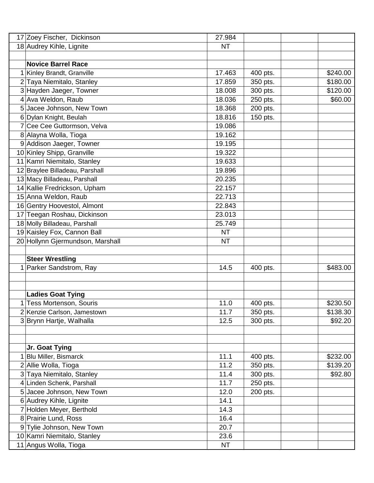| 17             | Zoey Fischer, Dickinson          | 27.984    |          |          |
|----------------|----------------------------------|-----------|----------|----------|
|                | 18 Audrey Kihle, Lignite         | <b>NT</b> |          |          |
|                |                                  |           |          |          |
|                | <b>Novice Barrel Race</b>        |           |          |          |
|                | Kinley Brandt, Granville         | 17.463    | 400 pts. | \$240.00 |
| 2              | Taya Niemitalo, Stanley          | 17.859    | 350 pts. | \$180.00 |
|                | 3 Hayden Jaeger, Towner          | 18.008    | 300 pts. | \$120.00 |
| 4              | Ava Weldon, Raub                 | 18.036    | 250 pts. | \$60.00  |
|                | 5 Jacee Johnson, New Town        | 18.368    | 200 pts. |          |
| 6              | Dylan Knight, Beulah             | 18.816    | 150 pts. |          |
|                | Cee Cee Guttormson, Velva        | 19.086    |          |          |
|                | 8 Alayna Wolla, Tioga            | 19.162    |          |          |
|                | 9 Addison Jaeger, Towner         | 19.195    |          |          |
|                | 10 Kinley Shipp, Granville       | 19.322    |          |          |
| 11             | Kamri Niemitalo, Stanley         | 19.633    |          |          |
|                | 12 Braylee Billadeau, Parshall   | 19.896    |          |          |
|                | 13 Macy Billadeau, Parshall      | 20.235    |          |          |
| 14             | Kallie Fredrickson, Upham        | 22.157    |          |          |
|                | 15 Anna Weldon, Raub             | 22.713    |          |          |
|                | 16 Gentry Hoovestol, Almont      | 22.843    |          |          |
|                | 17 Teegan Roshau, Dickinson      | 23.013    |          |          |
|                | 18 Molly Billadeau, Parshall     | 25.749    |          |          |
|                | 19 Kaisley Fox, Cannon Ball      | <b>NT</b> |          |          |
|                | 20 Hollynn Gjermundson, Marshall | <b>NT</b> |          |          |
|                |                                  |           |          |          |
|                | <b>Steer Wrestling</b>           |           |          |          |
|                | Parker Sandstrom, Ray            | 14.5      | 400 pts. | \$483.00 |
|                |                                  |           |          |          |
|                |                                  |           |          |          |
|                | <b>Ladies Goat Tying</b>         |           |          |          |
| 1              | <b>Tess Mortenson, Souris</b>    | 11.0      | 400 pts. | \$230.50 |
|                | Kenzie Carlson, Jamestown        | 11.7      | 350 pts. | \$138.30 |
|                | 3 Brynn Hartje, Walhalla         | 12.5      | 300 pts. | \$92.20  |
|                |                                  |           |          |          |
|                |                                  |           |          |          |
|                | Jr. Goat Tying                   |           |          |          |
|                | <b>Blu Miller, Bismarck</b>      | 11.1      | 400 pts. | \$232.00 |
|                | 2 Allie Wolla, Tioga             | 11.2      | 350 pts. | \$139.20 |
|                | 3 Taya Niemitalo, Stanley        | 11.4      | 300 pts. | \$92.80  |
| $\overline{4}$ | Linden Schenk, Parshall          | 11.7      | 250 pts. |          |
| 5              | Jacee Johnson, New Town          | 12.0      | 200 pts. |          |
|                | 6 Audrey Kihle, Lignite          | 14.1      |          |          |
|                | 7 Holden Meyer, Berthold         | 14.3      |          |          |
|                | 8 Prairie Lund, Ross             | 16.4      |          |          |
|                | 9 Tylie Johnson, New Town        | 20.7      |          |          |
|                | 10 Kamri Niemitalo, Stanley      | 23.6      |          |          |
|                | 11 Angus Wolla, Tioga            | <b>NT</b> |          |          |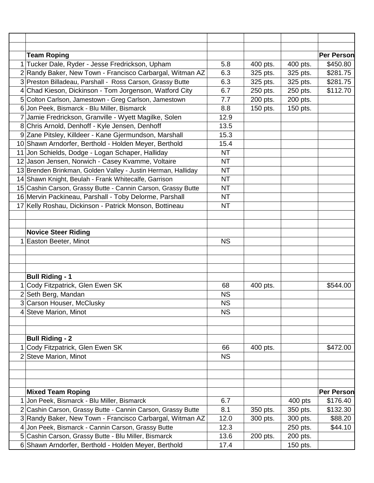| <b>Team Roping</b>                                           |           |          |          | <b>Per Person</b> |
|--------------------------------------------------------------|-----------|----------|----------|-------------------|
| 1 Tucker Dale, Ryder - Jesse Fredrickson, Upham              | 5.8       | 400 pts. | 400 pts. | \$450.80          |
| 2 Randy Baker, New Town - Francisco Carbargal, Witman AZ     | 6.3       | 325 pts. | 325 pts. | \$281.75          |
| 3 Preston Billadeau, Parshall - Ross Carson, Grassy Butte    | 6.3       | 325 pts. | 325 pts. | \$281.75          |
| 4 Chad Kieson, Dickinson - Tom Jorgenson, Watford City       | 6.7       | 250 pts. | 250 pts. | \$112.70          |
| 5 Colton Carlson, Jamestown - Greg Carlson, Jamestown        | 7.7       | 200 pts. | 200 pts. |                   |
| 6 Jon Peek, Bismarck - Blu Miller, Bismarck                  | 8.8       | 150 pts. | 150 pts. |                   |
| 7 Jamie Fredrickson, Granville - Wyett Magilke, Solen        | 12.9      |          |          |                   |
| 8 Chris Arnold, Denhoff - Kyle Jensen, Denhoff               | 13.5      |          |          |                   |
| 9 Zane Pitsley, Killdeer - Kane Gjermundson, Marshall        | 15.3      |          |          |                   |
| 10 Shawn Arndorfer, Berthold - Holden Meyer, Berthold        | 15.4      |          |          |                   |
| 11 Jon Schields, Dodge - Logan Schaper, Halliday             | <b>NT</b> |          |          |                   |
| 12 Jason Jensen, Norwich - Casey Kvamme, Voltaire            | <b>NT</b> |          |          |                   |
| 13 Brenden Brinkman, Golden Valley - Justin Herman, Halliday | <b>NT</b> |          |          |                   |
| 14 Shawn Knight, Beulah - Frank Whitecalfe, Garrison         | <b>NT</b> |          |          |                   |
| 15 Cashin Carson, Grassy Butte - Cannin Carson, Grassy Butte | <b>NT</b> |          |          |                   |
| 16 Mervin Packineau, Parshall - Toby Delorme, Parshall       | <b>NT</b> |          |          |                   |
| 17 Kelly Roshau, Dickinson - Patrick Monson, Bottineau       | <b>NT</b> |          |          |                   |
|                                                              |           |          |          |                   |
|                                                              |           |          |          |                   |
| <b>Novice Steer Riding</b>                                   |           |          |          |                   |
| Easton Beeter, Minot                                         | <b>NS</b> |          |          |                   |
|                                                              |           |          |          |                   |
|                                                              |           |          |          |                   |
|                                                              |           |          |          |                   |
| <b>Bull Riding - 1</b>                                       |           |          |          |                   |
| Cody Fitzpatrick, Glen Ewen SK                               | 68        | 400 pts. |          | \$544.00          |
| 2 Seth Berg, Mandan                                          | <b>NS</b> |          |          |                   |
| 3 Carson Houser, McClusky                                    | <b>NS</b> |          |          |                   |
| 4 Steve Marion, Minot                                        | <b>NS</b> |          |          |                   |
|                                                              |           |          |          |                   |
|                                                              |           |          |          |                   |
| <b>Bull Riding - 2</b>                                       |           |          |          |                   |
| Cody Fitzpatrick, Glen Ewen SK                               | 66        | 400 pts. |          | \$472.00          |
| 2 Steve Marion, Minot                                        | <b>NS</b> |          |          |                   |
|                                                              |           |          |          |                   |
|                                                              |           |          |          |                   |
|                                                              |           |          |          |                   |
| <b>Mixed Team Roping</b>                                     |           |          |          | <b>Per Person</b> |
| 1 Jon Peek, Bismarck - Blu Miller, Bismarck                  | 6.7       |          | 400 pts  | \$176.40          |
| 2 Cashin Carson, Grassy Butte - Cannin Carson, Grassy Butte  | 8.1       | 350 pts. | 350 pts. | \$132.30          |
| 3 Randy Baker, New Town - Francisco Carbargal, Witman AZ     | 12.0      | 300 pts. | 300 pts. | \$88.20           |
| 4 Jon Peek, Bismarck - Cannin Carson, Grassy Butte           | 12.3      |          | 250 pts. | \$44.10           |
| 5 Cashin Carson, Grassy Butte - Blu Miller, Bismarck         | 13.6      | 200 pts. | 200 pts. |                   |
| 6 Shawn Arndorfer, Berthold - Holden Meyer, Berthold         | 17.4      |          | 150 pts. |                   |